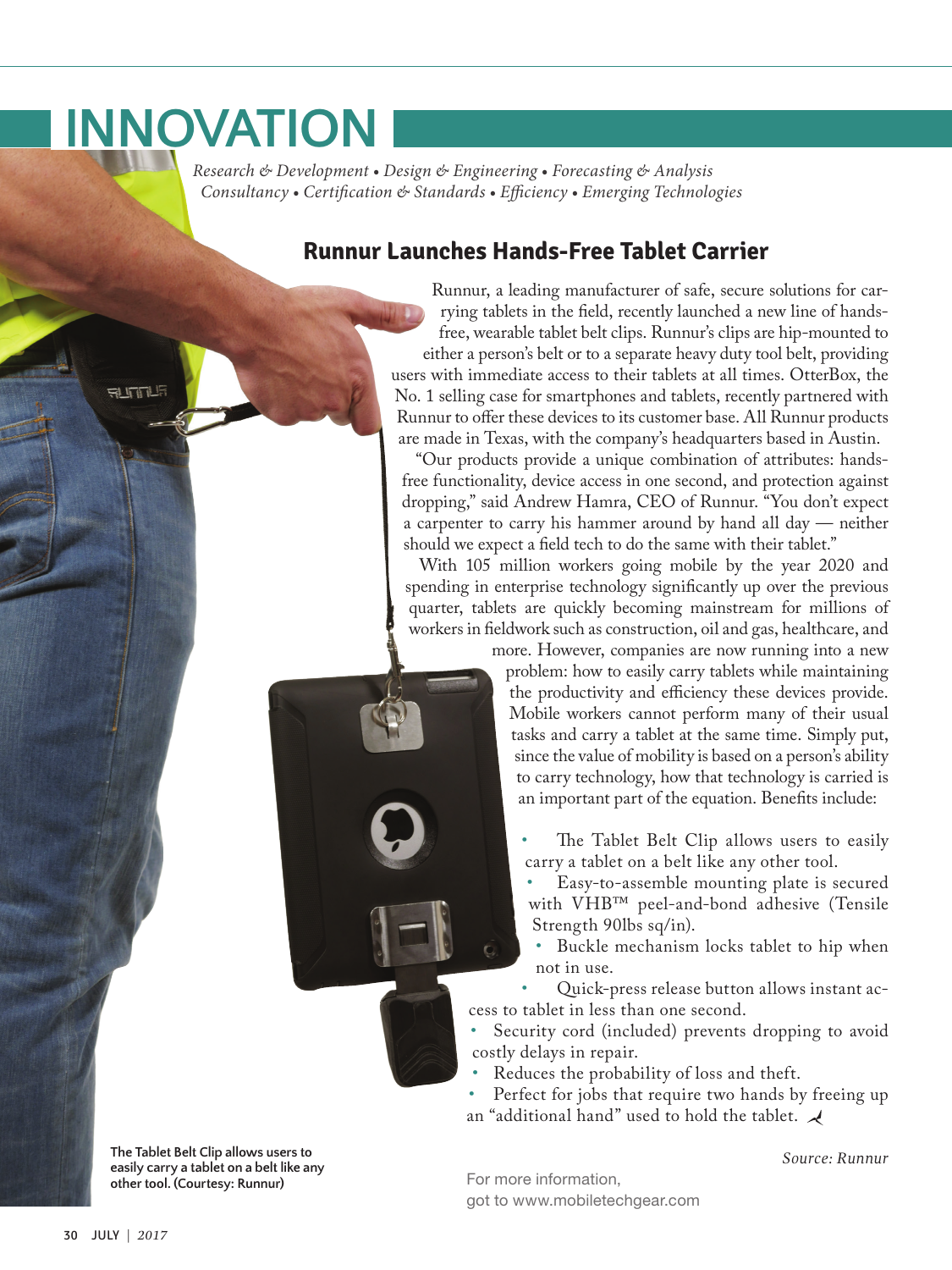## **INNOVATION**

**ALITILE** 

 *Research & Development • Design & Engineering • Forecasting & Analysis Consultancy • Certification & Standards • Efficiency • Emerging Technologies*

## **Runnur Launches Hands-Free Tablet Carrier**

Runnur, a leading manufacturer of safe, secure solutions for carrying tablets in the field, recently launched a new line of handsfree, wearable tablet belt clips. Runnur's clips are hip-mounted to either a person's belt or to a separate heavy duty tool belt, providing users with immediate access to their tablets at all times. OtterBox, the No. 1 selling case for smartphones and tablets, recently partnered with Runnur to offer these devices to its customer base. All Runnur products are made in Texas, with the company's headquarters based in Austin.

"Our products provide a unique combination of attributes: handsfree functionality, device access in one second, and protection against dropping," said Andrew Hamra, CEO of Runnur. "You don't expect a carpenter to carry his hammer around by hand all day — neither should we expect a field tech to do the same with their tablet."

With 105 million workers going mobile by the year 2020 and spending in enterprise technology significantly up over the previous quarter, tablets are quickly becoming mainstream for millions of workers in fieldwork such as construction, oil and gas, healthcare, and

more. However, companies are now running into a new problem: how to easily carry tablets while maintaining the productivity and efficiency these devices provide. Mobile workers cannot perform many of their usual tasks and carry a tablet at the same time. Simply put, since the value of mobility is based on a person's ability to carry technology, how that technology is carried is an important part of the equation. Benefits include:

- The Tablet Belt Clip allows users to easily carry a tablet on a belt like any other tool.
- Easy-to-assemble mounting plate is secured with VHB™ peel-and-bond adhesive (Tensile Strength 90lbs sq/in).
- Buckle mechanism locks tablet to hip when not in use.

• Quick-press release button allows instant access to tablet in less than one second.

Security cord (included) prevents dropping to avoid costly delays in repair.

• Reduces the probability of loss and theft.

Perfect for jobs that require two hands by freeing up an "additional hand" used to hold the tablet.  $\mathcal A$ 

*Source: Runnur*

**The Tablet Belt Clip allows users to easily carry a tablet on a belt like any other tool. (Courtesy: Runnur)**

For more information, got to [www.mobiletechgear.com](http://www.mobiletechgear.com)